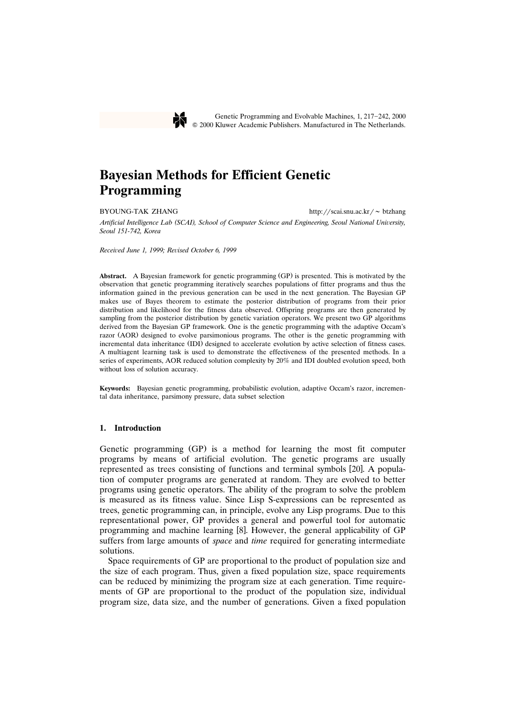# **Bayesian Methods for Efficient Genetic Programming**

BYOUNG-TAK ZHANG http://scai.snu.ac.kr/  $\sim$  btzhang

*Artificial Intelligence Lab SCAI , School of Computer Science and Engineering, Seoul National Uni ( )* ¨*ersity, Seoul 151-742, Korea*

*Recei*¨*ed June 1, 1999; Re*¨*ised October 6, 1999*

Abstract. A Bayesian framework for genetic programming (GP) is presented. This is motivated by the observation that genetic programming iteratively searches populations of fitter programs and thus the information gained in the previous generation can be used in the next generation. The Bayesian GP makes use of Bayes theorem to estimate the posterior distribution of programs from their prior distribution and likelihood for the fitness data observed. Offspring programs are then generated by sampling from the posterior distribution by genetic variation operators. We present two GP algorithms derived from the Bayesian GP framework. One is the genetic programming with the adaptive Occam's razor (AOR) designed to evolve parsimonious programs. The other is the genetic programming with incremental data inheritance (IDI) designed to accelerate evolution by active selection of fitness cases. A multiagent learning task is used to demonstrate the effectiveness of the presented methods. In a series of experiments, AOR reduced solution complexity by 20% and IDI doubled evolution speed, both without loss of solution accuracy.

**Keywords:** Bayesian genetic programming, probabilistic evolution, adaptive Occam's razor, incremental data inheritance, parsimony pressure, data subset selection

## **1. Introduction**

Genetic programming (GP) is a method for learning the most fit computer programs by means of artificial evolution. The genetic programs are usually represented as trees consisting of functions and terminal symbols [20]. A population of computer programs are generated at random. They are evolved to better programs using genetic operators. The ability of the program to solve the problem is measured as its fitness value. Since Lisp S-expressions can be represented as trees, genetic programming can, in principle, evolve any Lisp programs. Due to this representational power, GP provides a general and powerful tool for automatic programming and machine learning  $[8]$ . However, the general applicability of GP suffers from large amounts of *space* and *time* required for generating intermediate solutions.

Space requirements of GP are proportional to the product of population size and the size of each program. Thus, given a fixed population size, space requirements can be reduced by minimizing the program size at each generation. Time requirements of GP are proportional to the product of the population size, individual program size, data size, and the number of generations. Given a fixed population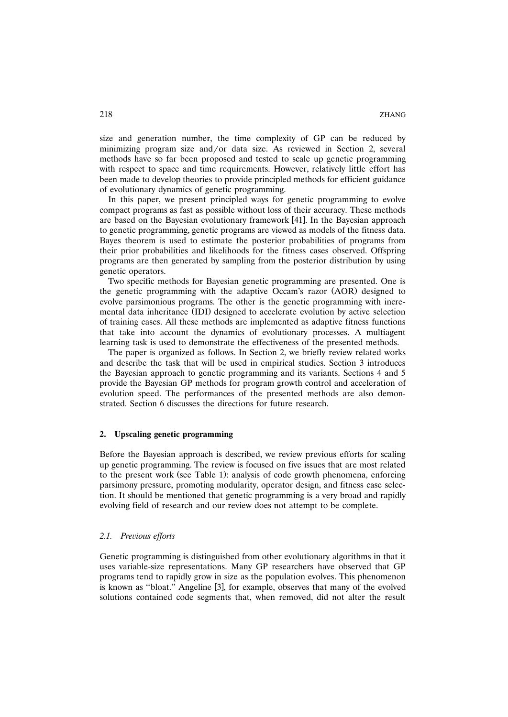size and generation number, the time complexity of GP can be reduced by minimizing program size and/or data size. As reviewed in Section 2, several methods have so far been proposed and tested to scale up genetic programming with respect to space and time requirements. However, relatively little effort has been made to develop theories to provide principled methods for efficient guidance of evolutionary dynamics of genetic programming.

In this paper, we present principled ways for genetic programming to evolve compact programs as fast as possible without loss of their accuracy. These methods are based on the Bayesian evolutionary framework [41]. In the Bayesian approach to genetic programming, genetic programs are viewed as models of the fitness data. Bayes theorem is used to estimate the posterior probabilities of programs from their prior probabilities and likelihoods for the fitness cases observed. Offspring programs are then generated by sampling from the posterior distribution by using genetic operators.

Two specific methods for Bayesian genetic programming are presented. One is the genetic programming with the adaptive Occam's razor (AOR) designed to evolve parsimonious programs. The other is the genetic programming with incremental data inheritance (IDI) designed to accelerate evolution by active selection of training cases. All these methods are implemented as adaptive fitness functions that take into account the dynamics of evolutionary processes. A multiagent learning task is used to demonstrate the effectiveness of the presented methods.

The paper is organized as follows. In Section 2, we briefly review related works and describe the task that will be used in empirical studies. Section 3 introduces the Bayesian approach to genetic programming and its variants. Sections 4 and 5 provide the Bayesian GP methods for program growth control and acceleration of evolution speed. The performances of the presented methods are also demonstrated. Section 6 discusses the directions for future research.

# **2. Upscaling genetic programming**

Before the Bayesian approach is described, we review previous efforts for scaling up genetic programming. The review is focused on five issues that are most related to the present work (see Table 1): analysis of code growth phenomena, enforcing parsimony pressure, promoting modularity, operator design, and fitness case selection. It should be mentioned that genetic programming is a very broad and rapidly evolving field of research and our review does not attempt to be complete.

# 2.1. Previous efforts

Genetic programming is distinguished from other evolutionary algorithms in that it uses variable-size representations. Many GP researchers have observed that GP programs tend to rapidly grow in size as the population evolves. This phenomenon is known as "bloat." Angeline [3], for example, observes that many of the evolved solutions contained code segments that, when removed, did not alter the result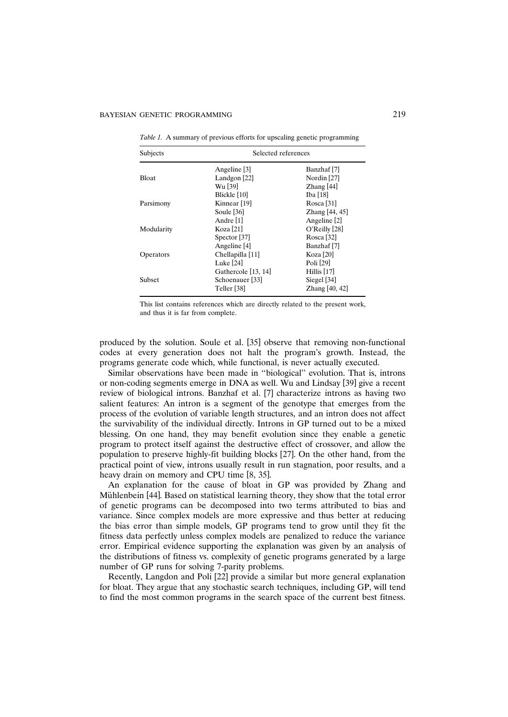| Subjects   | Selected references     |                        |  |
|------------|-------------------------|------------------------|--|
|            | Angeline [3]            | Banzhaf <sup>[7]</sup> |  |
| Bloat      | Landgon [22]            | Nordin [27]            |  |
|            | Wu [39]                 | Zhang [44]             |  |
|            | Blickle [10]            | Iba [18]               |  |
| Parsimony  | Kinnear [19]            | Rosca [31]             |  |
|            | Soule [36]              | Zhang [44, 45]         |  |
|            | Andre [1]               | Angeline [2]           |  |
| Modularity | Koza [21]               | O'Reilly [28]          |  |
|            | Spector <sup>[37]</sup> | Rosca [32]             |  |
|            | Angeline [4]            | Banzhaf <sup>[7]</sup> |  |
| Operators  | Chellapilla [11]        | Koza [20]              |  |
|            | Luke [24]               | Poli [29]              |  |
|            | Gathercole [13, 14]     | Hillis [17]            |  |
| Subset     | Schoenauer [33]         | Siegel [34]            |  |
|            | Teller [38]             | Zhang [40, 42]         |  |
|            |                         |                        |  |

*Table 1.* A summary of previous efforts for upscaling genetic programming

This list contains references which are directly related to the present work, and thus it is far from complete.

produced by the solution. Soule et al. [35] observe that removing non-functional codes at every generation does not halt the program's growth. Instead, the programs generate code which, while functional, is never actually executed.

Similar observations have been made in ''biological'' evolution. That is, introns or non-coding segments emerge in DNA as well. Wu and Lindsay [39] give a recent review of biological introns. Banzhaf et al. [7] characterize introns as having two salient features: An intron is a segment of the genotype that emerges from the process of the evolution of variable length structures, and an intron does not affect the survivability of the individual directly. Introns in GP turned out to be a mixed blessing. On one hand, they may benefit evolution since they enable a genetic program to protect itself against the destructive effect of crossover, and allow the population to preserve highly-fit building blocks  $[27]$ . On the other hand, from the practical point of view, introns usually result in run stagnation, poor results, and a heavy drain on memory and CPU time  $[8, 35]$ .

An explanation for the cause of bloat in GP was provided by Zhang and Mühlenbein [44]. Based on statistical learning theory, they show that the total error of genetic programs can be decomposed into two terms attributed to bias and variance. Since complex models are more expressive and thus better at reducing the bias error than simple models, GP programs tend to grow until they fit the fitness data perfectly unless complex models are penalized to reduce the variance error. Empirical evidence supporting the explanation was given by an analysis of the distributions of fitness vs. complexity of genetic programs generated by a large number of GP runs for solving 7-parity problems.

Recently, Langdon and Poli [22] provide a similar but more general explanation for bloat. They argue that any stochastic search techniques, including GP, will tend to find the most common programs in the search space of the current best fitness.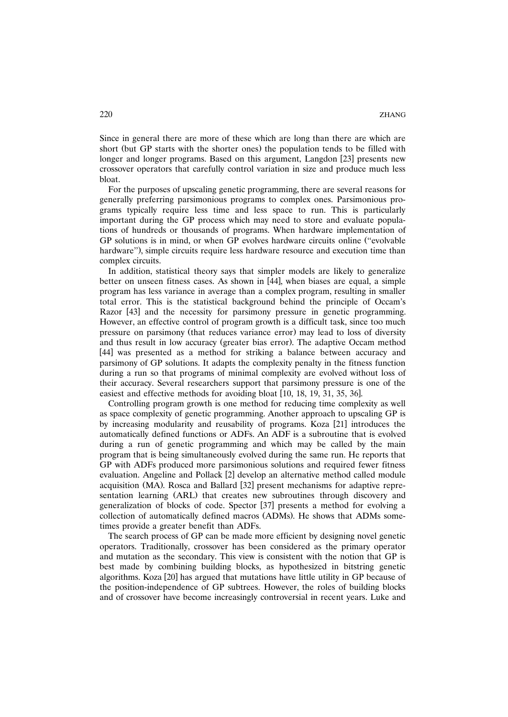Since in general there are more of these which are long than there are which are short (but GP starts with the shorter ones) the population tends to be filled with longer and longer programs. Based on this argument, Langdon [23] presents new crossover operators that carefully control variation in size and produce much less bloat.

For the purposes of upscaling genetic programming, there are several reasons for generally preferring parsimonious programs to complex ones. Parsimonious programs typically require less time and less space to run. This is particularly important during the GP process which may need to store and evaluate populations of hundreds or thousands of programs. When hardware implementation of GP solutions is in mind, or when GP evolves hardware circuits online ''evolvable Ž hardware''), simple circuits require less hardware resource and execution time than complex circuits.

In addition, statistical theory says that simpler models are likely to generalize better on unseen fitness cases. As shown in  $[44]$ , when biases are equal, a simple program has less variance in average than a complex program, resulting in smaller total error. This is the statistical background behind the principle of Occam's Razor [43] and the necessity for parsimony pressure in genetic programming. However, an effective control of program growth is a difficult task, since too much pressure on parsimony (that reduces variance error) may lead to loss of diversity and thus result in low accuracy (greater bias error). The adaptive Occam method [44] was presented as a method for striking a balance between accuracy and parsimony of GP solutions. It adapts the complexity penalty in the fitness function during a run so that programs of minimal complexity are evolved without loss of their accuracy. Several researchers support that parsimony pressure is one of the easiest and effective methods for avoiding bloat  $[10, 18, 19, 31, 35, 36]$ .

Controlling program growth is one method for reducing time complexity as well as space complexity of genetic programming. Another approach to upscaling GP is by increasing modularity and reusability of programs. Koza [21] introduces the automatically defined functions or ADFs. An ADF is a subroutine that is evolved during a run of genetic programming and which may be called by the main program that is being simultaneously evolved during the same run. He reports that GP with ADFs produced more parsimonious solutions and required fewer fitness evaluation. Angeline and Pollack [2] develop an alternative method called module acquisition (MA). Rosca and Ballard [32] present mechanisms for adaptive representation learning (ARL) that creates new subroutines through discovery and generalization of blocks of code. Spector  $[37]$  presents a method for evolving a collection of automatically defined macros (ADMs). He shows that ADMs sometimes provide a greater benefit than ADFs.

The search process of GP can be made more efficient by designing novel genetic operators. Traditionally, crossover has been considered as the primary operator and mutation as the secondary. This view is consistent with the notion that GP is best made by combining building blocks, as hypothesized in bitstring genetic algorithms. Koza [20] has argued that mutations have little utility in GP because of the position-independence of GP subtrees. However, the roles of building blocks and of crossover have become increasingly controversial in recent years. Luke and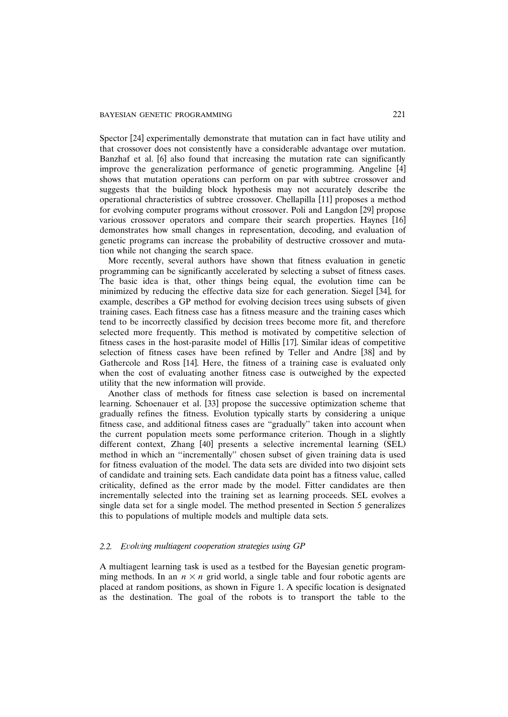Spector [24] experimentally demonstrate that mutation can in fact have utility and that crossover does not consistently have a considerable advantage over mutation. Banzhaf et al.  $[6]$  also found that increasing the mutation rate can significantly improve the generalization performance of genetic programming. Angeline  $[4]$ shows that mutation operations can perform on par with subtree crossover and suggests that the building block hypothesis may not accurately describe the operational chracteristics of subtree crossover. Chellapilla [11] proposes a method for evolving computer programs without crossover. Poli and Langdon [29] propose various crossover operators and compare their search properties. Haynes [16] demonstrates how small changes in representation, decoding, and evaluation of genetic programs can increase the probability of destructive crossover and mutation while not changing the search space.

More recently, several authors have shown that fitness evaluation in genetic programming can be significantly accelerated by selecting a subset of fitness cases. The basic idea is that, other things being equal, the evolution time can be minimized by reducing the effective data size for each generation. Siegel  $[34]$ , for example, describes a GP method for evolving decision trees using subsets of given training cases. Each fitness case has a fitness measure and the training cases which tend to be incorrectly classified by decision trees become more fit, and therefore selected more frequently. This method is motivated by competitive selection of fitness cases in the host-parasite model of Hillis [17]. Similar ideas of competitive selection of fitness cases have been refined by Teller and Andre [38] and by Gathercole and Ross [14]. Here, the fitness of a training case is evaluated only when the cost of evaluating another fitness case is outweighed by the expected utility that the new information will provide.

Another class of methods for fitness case selection is based on incremental learning. Schoenauer et al. [33] propose the successive optimization scheme that gradually refines the fitness. Evolution typically starts by considering a unique fitness case, and additional fitness cases are ''gradually'' taken into account when the current population meets some performance criterion. Though in a slightly different context, Zhang  $[40]$  presents a selective incremental learning (SEL) method in which an ''incrementally'' chosen subset of given training data is used for fitness evaluation of the model. The data sets are divided into two disjoint sets of candidate and training sets. Each candidate data point has a fitness value, called criticality, defined as the error made by the model. Fitter candidates are then incrementally selected into the training set as learning proceeds. SEL evolves a single data set for a single model. The method presented in Section 5 generalizes this to populations of multiple models and multiple data sets.

# 2.2. Evolving multiagent cooperation strategies using GP

A multiagent learning task is used as a testbed for the Bayesian genetic programming methods. In an  $n \times n$  grid world, a single table and four robotic agents are placed at random positions, as shown in Figure 1. A specific location is designated as the destination. The goal of the robots is to transport the table to the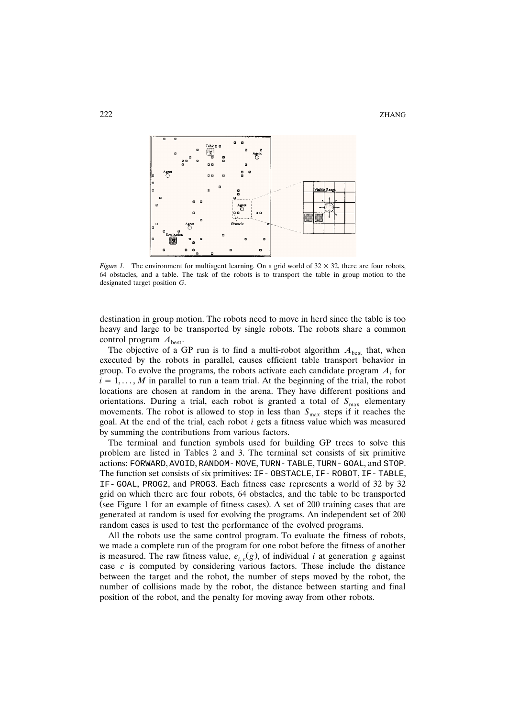

*Figure 1.* The environment for multiagent learning. On a grid world of  $32 \times 32$ , there are four robots, 64 obstacles, and a table. The task of the robots is to transport the table in group motion to the designated target position *G*.

destination in group motion. The robots need to move in herd since the table is too heavy and large to be transported by single robots. The robots share a common control program  $A_{\text{best}}$ .

The objective of a GP run is to find a multi-robot algorithm  $A_{\text{best}}$  that, when executed by the robots in parallel, causes efficient table transport behavior in group. To evolve the programs, the robots activate each candidate program  $A_i$  for  $i = 1, \ldots, M$  in parallel to run a team trial. At the beginning of the trial, the robot locations are chosen at random in the arena. They have different positions and orientations. During a trial, each robot is granted a total of  $S_{\text{max}}$  elementary movements. The robot is allowed to stop in less than  $S<sub>max</sub>$  steps if it reaches the goal. At the end of the trial, each robot *i* gets a fitness value which was measured by summing the contributions from various factors.

The terminal and function symbols used for building GP trees to solve this problem are listed in Tables 2 and 3. The terminal set consists of six primitive actions: FORWARD, AVOID, RANDOM- MOVE, TURN- TABLE, TURN- GOAL, and STOP. The function set consists of six primitives: IF- OBSTACLE, IF- ROBOT, IF- TABLE, IF- GOAL, PROG2, and PROG3. Each fitness case represents a world of 32 by 32 grid on which there are four robots, 64 obstacles, and the table to be transported (see Figure 1 for an example of fitness cases). A set of  $200$  training cases that are generated at random is used for evolving the programs. An independent set of 200 random cases is used to test the performance of the evolved programs.

All the robots use the same control program. To evaluate the fitness of robots, we made a complete run of the program for one robot before the fitness of another is measured. The raw fitness value,  $e_{i,c}(g)$ , of individual *i* at generation *g* against case *c* is computed by considering various factors. These include the distance between the target and the robot, the number of steps moved by the robot, the number of collisions made by the robot, the distance between starting and final position of the robot, and the penalty for moving away from other robots.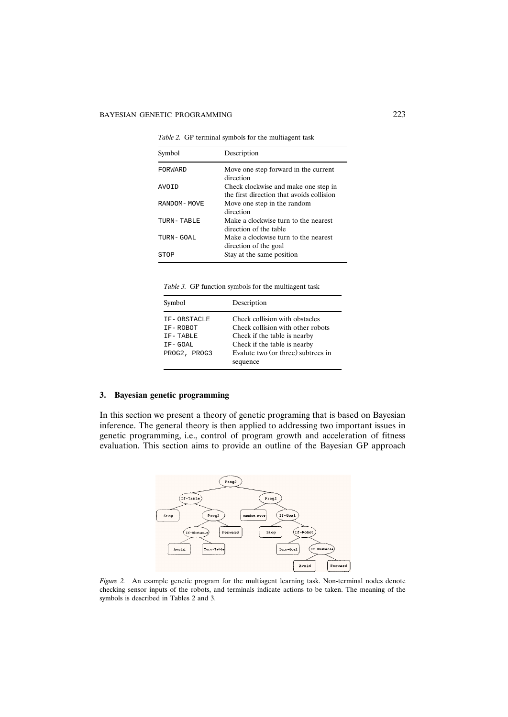| Symbol      | Description                                                                       |
|-------------|-----------------------------------------------------------------------------------|
| FORWARD     | Move one step forward in the current<br>direction                                 |
| AVOID       | Check clockwise and make one step in<br>the first direction that avoids collision |
| RANDOM-MOVE | Move one step in the random<br>direction                                          |
| TURN-TABLE  | Make a clockwise turn to the nearest<br>direction of the table                    |
| TURN- GOAL  | Make a clockwise turn to the nearest<br>direction of the goal                     |
| STOP        | Stay at the same position                                                         |

*Table 2.* GP terminal symbols for the multiagent task

*Table 3.* GP function symbols for the multiagent task

| Symbol                                                         | Description                                                                                                                                                                           |
|----------------------------------------------------------------|---------------------------------------------------------------------------------------------------------------------------------------------------------------------------------------|
| IF-OBSTACLE<br>IF-ROBOT<br>IF-TABLE<br>IF-GOAL<br>PROG2, PROG3 | Check collision with obstacles<br>Check collision with other robots<br>Check if the table is nearby<br>Check if the table is nearby<br>Evalute two (or three) subtrees in<br>sequence |
|                                                                |                                                                                                                                                                                       |

## **3. Bayesian genetic programming**

In this section we present a theory of genetic programing that is based on Bayesian inference. The general theory is then applied to addressing two important issues in genetic programming, i.e., control of program growth and acceleration of fitness evaluation. This section aims to provide an outline of the Bayesian GP approach



*Figure 2.* An example genetic program for the multiagent learning task. Non-terminal nodes denote checking sensor inputs of the robots, and terminals indicate actions to be taken. The meaning of the symbols is described in Tables 2 and 3.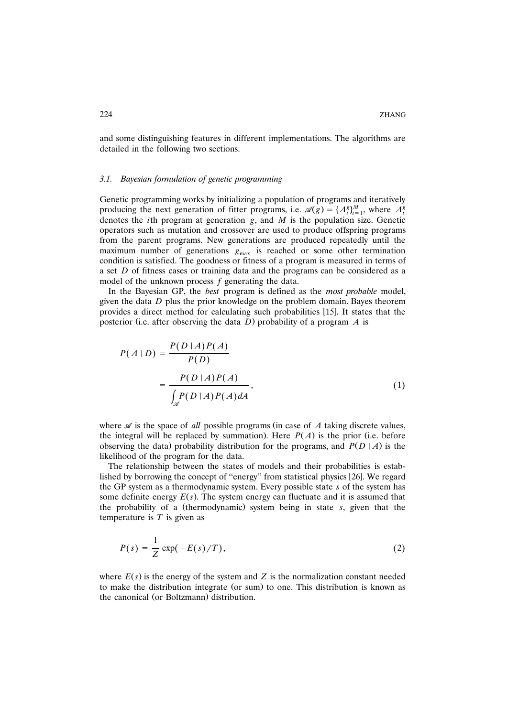and some distinguishing features in different implementations. The algorithms are detailed in the following two sections.

## *3.1. Bayesian formulation of genetic programming*

Genetic programming works by initializing a population of programs and iteratively producing the next generation of fitter programs, i.e.  $\mathcal{A}(g) = \{A_i^g\}_{i=1}^M$ , where  $A_i^g$ denotes the *i*th program at generation *g*, and *M* is the population size. Genetic operators such as mutation and crossover are used to produce offspring programs from the parent programs. New generations are produced repeatedly until the maximum number of generations  $g_{\text{max}}$  is reached or some other termination condition is satisfied. The goodness or fitness of a program is measured in terms of a set *D* of fitness cases or training data and the programs can be considered as a model of the unknown process *f* generating the data.

In the Bayesian GP, the *best* program is defined as the *most probable* model, given the data *D* plus the prior knowledge on the problem domain. Bayes theorem provides a direct method for calculating such probabilities [15]. It states that the posterior (i.e. after observing the data  $D$ ) probability of a program  $\overline{A}$  is

$$
P(A | D) = \frac{P(D | A)P(A)}{P(D)}
$$
  
= 
$$
\frac{P(D | A)P(A)}{\int_{\mathcal{A}} P(D | A)P(A)dA},
$$
 (1)

where  $\mathscr A$  is the space of *all* possible programs (in case of  $\mathscr A$  taking discrete values, the integral will be replaced by summation). Here  $P(A)$  is the prior (i.e. before observing the data) probability distribution for the programs, and  $P(D | A)$  is the likelihood of the program for the data.

The relationship between the states of models and their probabilities is established by borrowing the concept of "energy" from statistical physics [26]. We regard the GP system as a thermodynamic system. Every possible state *s* of the system has some definite energy  $E(s)$ . The system energy can fluctuate and it is assumed that the probability of a (thermodynamic) system being in state  $\dot{s}$ , given that the temperature is *T* is given as

$$
P(s) = \frac{1}{Z} \exp(-E(s)/T),
$$
\n(2)

where  $E(s)$  is the energy of the system and Z is the normalization constant needed to make the distribution integrate (or sum) to one. This distribution is known as the canonical (or Boltzmann) distribution.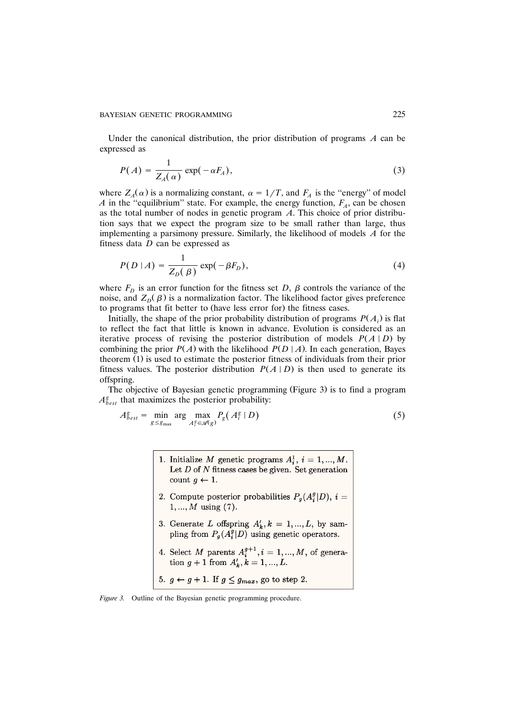Under the canonical distribution, the prior distribution of programs *A* can be expressed as

$$
P(A) = \frac{1}{Z_A(\alpha)} \exp(-\alpha F_A), \tag{3}
$$

where  $Z_A(\alpha)$  is a normalizing constant,  $\alpha = 1/T$ , and  $F_A$  is the "energy" of model *A* in the "equilibrium" state. For example, the energy function,  $F_A$ , can be chosen as the total number of nodes in genetic program *A*. This choice of prior distribution says that we expect the program size to be small rather than large, thus implementing a parsimony pressure. Similarly, the likelihood of models *A* for the fitness data *D* can be expressed as

$$
P(D \mid A) = \frac{1}{Z_D(\beta)} \exp(-\beta F_D),\tag{4}
$$

where  $F_D$  is an error function for the fitness set *D*,  $\beta$  controls the variance of the noise, and  $Z_D(\beta)$  is a normalization factor. The likelihood factor gives preference to programs that fit better to (have less error for) the fitness cases.

Initially, the shape of the prior probability distribution of programs  $P(A_i)$  is flat to reflect the fact that little is known in advance. Evolution is considered as an iterative process of revising the posterior distribution of models  $P(A | D)$  by combining the prior  $P(A)$  with the likelihood  $P(D | A)$ . In each generation, Bayes theorem  $(1)$  is used to estimate the posterior fitness of individuals from their prior fitness values. The posterior distribution  $P(A | D)$  is then used to generate its offspring.

The objective of Bayesian genetic programming (Figure 3) is to find a program  $A_{best}^{g}$  that maximizes the posterior probability:

$$
A_{best}^g = \min_{g \le g_{max}} \arg \max_{A_i^g \in \mathcal{A}(g)} P_g(A_i^g \mid D) \tag{5}
$$

- 1. Initialize M genetic programs  $A_i^1$ ,  $i = 1, ..., M$ . Let  $D$  of  $N$  fitness cases be given. Set generation count  $q \leftarrow 1$ .
- 2. Compute posterior probabilities  $P_a(A_i^g|D)$ ,  $i=$  $1, ..., M$  using  $(7)$ .
- 3. Generate L offspring  $A'_k, k = 1, ..., L$ , by sampling from  $P_q(A_i^g|D)$  using genetic operators.
- 4. Select  $M$  parents  $A_i^{g+1}, i = 1, ..., M$ , of generation  $g + 1$  from  $A'_k, k = 1, ..., L$ .
- 5.  $g \leftarrow g + 1$ . If  $g \le g_{max}$ , go to step 2.

*Figure 3.* Outline of the Bayesian genetic programming procedure.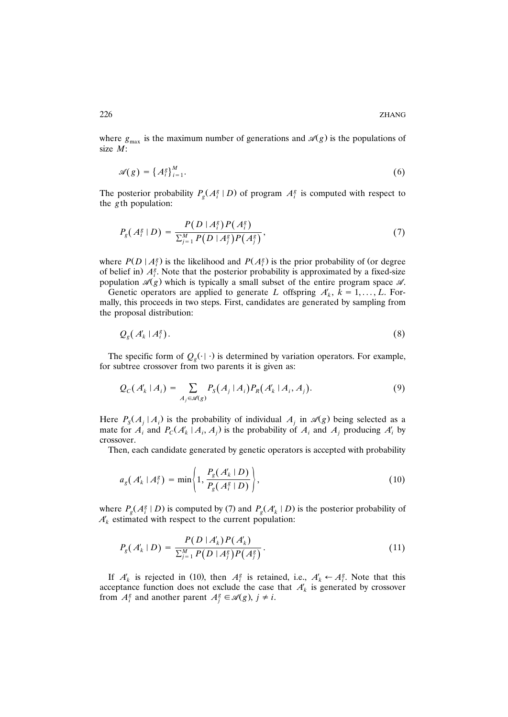where  $g_{\text{max}}$  is the maximum number of generations and  $\mathcal{A}(g)$  is the populations of size *M*:

$$
\mathcal{A}(g) = \left\{ A_i^g \right\}_{i=1}^M. \tag{6}
$$

The posterior probability  $P_g(A_i^g \mid D)$  of program  $A_i^g$  is computed with respect to the *g* th population:

$$
P_g(A_i^g \mid D) = \frac{P(D \mid A_i^g) P(A_i^g)}{\sum_{j=1}^{M} P(D \mid A_j^g) P(A_j^g)},
$$
\n(7)

where  $P(D | A_i^g)$  is the likelihood and  $P(A_i^g)$  is the prior probability of (or degree of belief in)  $A_i^g$ . Note that the posterior probability is approximated by a fixed-size population  $\mathscr{A}(g)$  which is typically a small subset of the entire program space  $\mathscr{A}$ .

Genetic operators are applied to generate *L* offspring  $A'_k$ ,  $k = 1, \ldots, L$ . Formally, this proceeds in two steps. First, candidates are generated by sampling from the proposal distribution:

$$
Q_g(A'_k \mid A_i^g). \tag{8}
$$

The specific form of  $Q_g(\cdot \mid \cdot)$  is determined by variation operators. For example, for subtree crossover from two parents it is given as:

$$
Q_C(A'_k | A_i) = \sum_{A_j \in \mathscr{A}(g)} P_S(A_j | A_i) P_R(A'_k | A_i, A_j).
$$
 (9)

Here  $P_{\mathcal{S}}(A_i | A_i)$  is the probability of individual  $A_i$  in  $\mathcal{A}(g)$  being selected as a mate for  $A_i$  and  $P_C(A'_k | A_i, A_i)$  is the probability of  $A_i$  and  $A_i$  producing  $A'_i$  by crossover.

Then, each candidate generated by genetic operators is accepted with probability

$$
a_g(A'_k \mid A^g_i) = \min\left\{1, \frac{P_g(A'_k \mid D)}{P_g(A^g_i \mid D)}\right\},\tag{10}
$$

where  $P_g(A_i^g \mid D)$  is computed by (7) and  $P_g(A_k \mid D)$  is the posterior probability of  $A'_k$  estimated with respect to the current population:

$$
P_g(A'_k | D) = \frac{P(D | A'_k)P(A'_k)}{\sum_{j=1}^M P(D | A_j^g)P(A_j^g)}.
$$
\n(11)

If  $A'_k$  is rejected in (10), then  $A_i^g$  is retained, i.e.,  $A'_k \leftarrow A_i^g$ . Note that this acceptance function does not exclude the case that  $A'_k$  is generated by crossover from  $A_i^g$  and another parent  $A_i^g \in \mathcal{A}(g)$ ,  $j \neq i$ .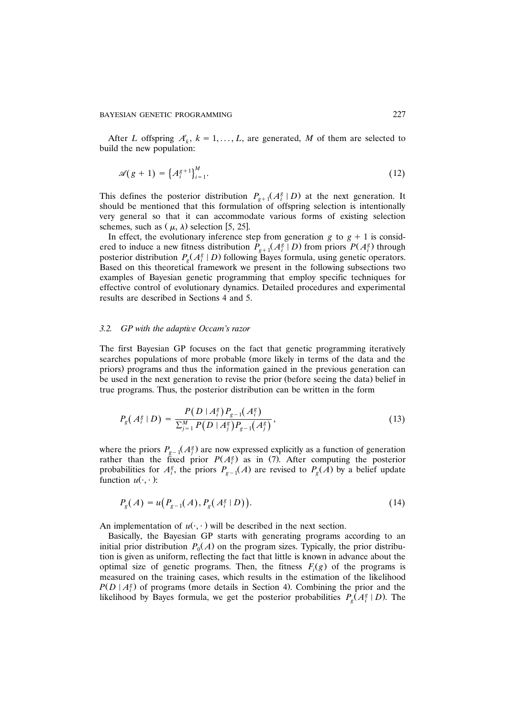After *L* offspring  $A'_k$ ,  $k = 1, ..., L$ , are generated, *M* of them are selected to build the new population:

$$
\mathcal{A}(g+1) = \left\{ A_i^{g+1} \right\}_{i=1}^M.
$$
\n(12)

This defines the posterior distribution  $P_{g+1}(A_i^g \mid D)$  at the next generation. It should be mentioned that this formulation of offspring selection is intentionally very general so that it can accommodate various forms of existing selection schemes, such as  $(\mu, \lambda)$  selection [5, 25].

In effect, the evolutionary inference step from generation *g* to  $g + 1$  is considered to induce a new fitness distribution  $P_{g+1}(A_i^g \mid D)$  from priors  $P(A_i^g)$  through posterior distribution  $P_g(A_i^g \mid D)$  following Bayes formula, using genetic operators. Based on this theoretical framework we present in the following subsections two examples of Bayesian genetic programming that employ specific techniques for effective control of evolutionary dynamics. Detailed procedures and experimental results are described in Sections 4 and 5.

#### *3.2. GP with the adapti*¨*e Occam's razor*

The first Bayesian GP focuses on the fact that genetic programming iteratively searches populations of more probable (more likely in terms of the data and the priors programs and thus the information gained in the previous generation can . be used in the next generation to revise the prior (before seeing the data) belief in true programs. Thus, the posterior distribution can be written in the form

$$
P_g(A_i^g \mid D) = \frac{P(D \mid A_i^g) P_{g-1}(A_i^g)}{\sum_{j=1}^M P(D \mid A_j^g) P_{g-1}(A_j^g)},\tag{13}
$$

where the priors  $P_{g-1}(A_i^g)$  are now expressed explicitly as a function of generation rather than the fixed prior  $P(A_i^g)$  as in (7). After computing the posterior probabilities for  $A_i^g$ , the priors  $P_{g-1}(A)$  are revised to  $P_g(A)$  by a belief update function  $u(\cdot, \cdot)$ :

$$
P_g(A) = u(P_{g-1}(A), P_g(A_i^g \mid D)). \tag{14}
$$

An implementation of  $u(\cdot, \cdot)$  will be described in the next section.

Basically, the Bayesian GP starts with generating programs according to an initial prior distribution  $P_0(A)$  on the program sizes. Typically, the prior distribution is given as uniform, reflecting the fact that little is known in advance about the optimal size of genetic programs. Then, the fitness  $F_i(g)$  of the programs is measured on the training cases, which results in the estimation of the likelihood  $P(D \mid A_i^g)$  of programs (more details in Section 4). Combining the prior and the likelihood by Bayes formula, we get the posterior probabilities  $P_{\varrho}(A_i^g \mid D)$ . The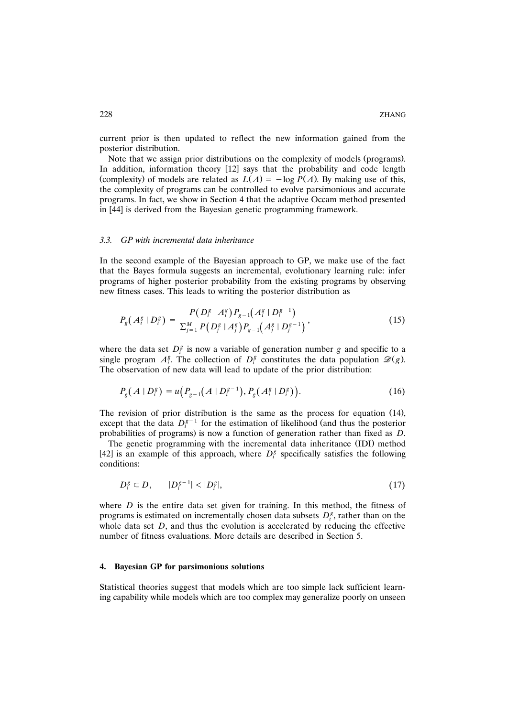current prior is then updated to reflect the new information gained from the posterior distribution.

Note that we assign prior distributions on the complexity of models (programs). In addition, information theory  $[12]$  says that the probability and code length (complexity) of models are related as  $L(A) = -\log P(A)$ . By making use of this, the complexity of programs can be controlled to evolve parsimonious and accurate programs. In fact, we show in Section 4 that the adaptive Occam method presented in [44] is derived from the Bayesian genetic programming framework.

## *3.3. GP with incremental data inheritance*

In the second example of the Bayesian approach to GP, we make use of the fact that the Bayes formula suggests an incremental, evolutionary learning rule: infer programs of higher posterior probability from the existing programs by observing new fitness cases. This leads to writing the posterior distribution as

$$
P_g(A_i^g \mid D_i^g) = \frac{P(D_i^g \mid A_i^g) P_{g-1}(A_i^g \mid D_i^{g-1})}{\sum_{j=1}^M P(D_j^g \mid A_j^g) P_{g-1}(A_j^g \mid D_j^{g-1})},\tag{15}
$$

where the data set  $D_i^g$  is now a variable of generation number *g* and specific to a single program  $A_i^g$ . The collection of  $D_i^g$  constitutes the data population  $\mathscr{D}(g)$ . The observation of new data will lead to update of the prior distribution:

$$
P_g(A \mid D_i^g) = u(P_{g-1}(A \mid D_i^{g-1}), P_g(A_i^g \mid D_i^g)).
$$
\n(16)

The revision of prior distribution is the same as the process for equation  $(14)$ , except that the data  $D_i^{g-1}$  for the estimation of likelihood (and thus the posterior probabilities of programs) is now a function of generation rather than fixed as  $D$ .

The genetic programming with the incremental data inheritance (IDI) method [42] is an example of this approach, where  $D_i^g$  specifically satisfies the following conditions:

$$
D_i^g \subset D, \qquad |D_i^{g-1}| < |D_i^g|,\tag{17}
$$

where *D* is the entire data set given for training. In this method, the fitness of programs is estimated on incrementally chosen data subsets  $D_i^g$ , rather than on the whole data set  $D$ , and thus the evolution is accelerated by reducing the effective number of fitness evaluations. More details are described in Section 5.

#### **4. Bayesian GP for parsimonious solutions**

Statistical theories suggest that models which are too simple lack sufficient learning capability while models which are too complex may generalize poorly on unseen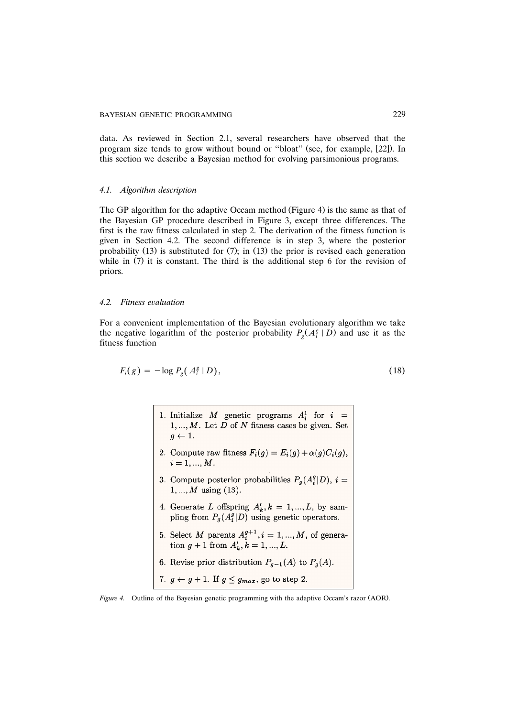data. As reviewed in Section 2.1, several researchers have observed that the program size tends to grow without bound or "bloat" (see, for example, [22]). In this section we describe a Bayesian method for evolving parsimonious programs.

## *4.1. Algorithm description*

The GP algorithm for the adaptive Occam method (Figure 4) is the same as that of the Bayesian GP procedure described in Figure 3, except three differences. The first is the raw fitness calculated in step 2. The derivation of the fitness function is given in Section 4.2. The second difference is in step 3, where the posterior probability  $(13)$  is substituted for  $(7)$ ; in  $(13)$  the prior is revised each generation while in  $(7)$  it is constant. The third is the additional step 6 for the revision of priors.

## *4.2. Fitness e*¨*aluation*

For a convenient implementation of the Bayesian evolutionary algorithm we take the negative logarithm of the posterior probability  $P_e(A_i^g \mid D)$  and use it as the fitness function

$$
F_i(g) = -\log P_g(A_i^g \mid D),\tag{18}
$$

- 1. Initialize M genetic programs  $A_i^1$  for  $i =$  $1, ..., M$ . Let D of N fitness cases be given. Set  $q \leftarrow 1$ .
- 2. Compute raw fitness  $F_i(g) = E_i(g) + \alpha(g)C_i(g)$ ,  $i = 1, ..., M$ .
- 3. Compute posterior probabilities  $P_q(A_i^g|D)$ ,  $i=$  $1, ..., M$  using (13).
- 4. Generate L offspring  $A'_k, k = 1, ..., L$ , by sampling from  $P_g(A_i^g|D)$  using genetic operators.
- 5. Select *M* parents  $A_i^{g+1}$ ,  $i = 1, ..., M$ , of generation  $g + 1$  from  $A'_k$ ,  $k = 1, ..., L$ .
- 6. Revise prior distribution  $P_{g-1}(A)$  to  $P_g(A)$ .
- 7.  $g \leftarrow g + 1$ . If  $g \le g_{max}$ , go to step 2.

*Figure 4.* Outline of the Bayesian genetic programming with the adaptive Occam's razor (AOR).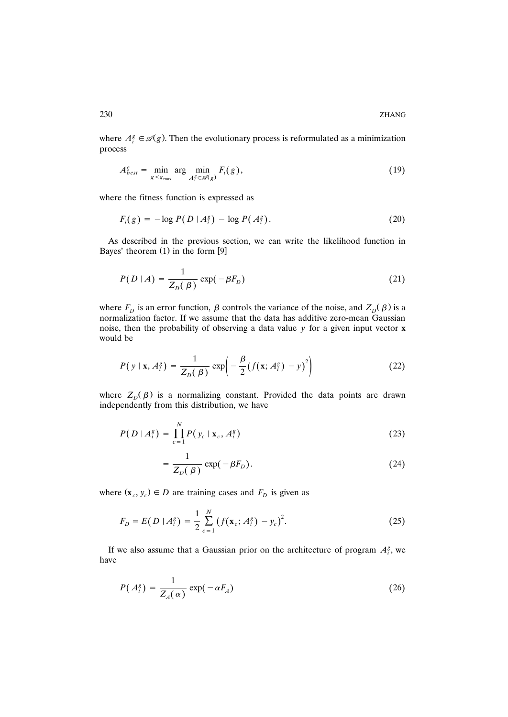where  $A_i^g \in \mathcal{A}(g)$ . Then the evolutionary process is reformulated as a minimization process

$$
A_{best}^g = \min_{g \le g_{max}} \arg \min_{A_i^g \in \mathscr{A}(g)} F_i(g), \tag{19}
$$

where the fitness function is expressed as

$$
F_i(g) = -\log P(D \mid A_i^g) - \log P(A_i^g). \tag{20}
$$

As described in the previous section, we can write the likelihood function in Bayes' theorem (1) in the form [9]

$$
P(D \mid A) = \frac{1}{Z_D(\beta)} \exp(-\beta F_D) \tag{21}
$$

where  $F_D$  is an error function,  $\beta$  controls the variance of the noise, and  $Z_D(\beta)$  is a normalization factor. If we assume that the data has additive zero-mean Gaussian noise, then the probability of observing a data value *y* for a given input vector **x** would be

$$
P(y \mid \mathbf{x}, A_i^g) = \frac{1}{Z_D(\beta)} \exp\left(-\frac{\beta}{2} \left(f(\mathbf{x}; A_i^g) - y\right)^2\right) \tag{22}
$$

where  $Z_D(\beta)$  is a normalizing constant. Provided the data points are drawn independently from this distribution, we have

$$
P(D \mid A_i^g) = \prod_{c=1}^N P(y_c \mid \mathbf{x}_c, A_i^g)
$$
 (23)

$$
=\frac{1}{Z_D(\beta)}\exp(-\beta F_D). \tag{24}
$$

where  $(\mathbf{x}_c, y_c) \in D$  are training cases and  $F_D$  is given as

$$
F_D = E(D \mid A_i^g) = \frac{1}{2} \sum_{c=1}^N \left( f(\mathbf{x}_c; A_i^g) - y_c \right)^2.
$$
 (25)

If we also assume that a Gaussian prior on the architecture of program  $A_i^g$ , we have

$$
P(A_i^g) = \frac{1}{Z_A(\alpha)} \exp(-\alpha F_A) \tag{26}
$$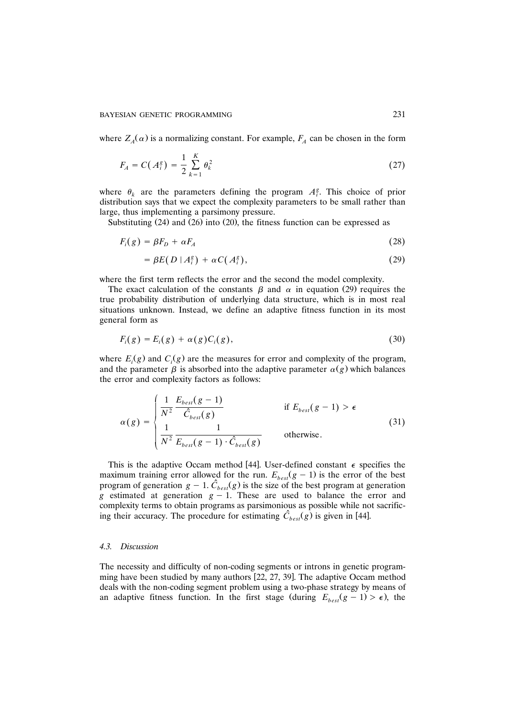where  $Z_A(\alpha)$  is a normalizing constant. For example,  $F_A$  can be chosen in the form

$$
F_A = C(A_i^g) = \frac{1}{2} \sum_{k=1}^{K} \theta_k^2
$$
 (27)

where  $\theta_k$  are the parameters defining the program  $A_i^g$ . This choice of prior distribution says that we expect the complexity parameters to be small rather than large, thus implementing a parsimony pressure.

Substituting  $(24)$  and  $(26)$  into  $(20)$ , the fitness function can be expressed as

$$
F_i(g) = \beta F_D + \alpha F_A \tag{28}
$$

$$
= \beta E(D \mid A_i^g) + \alpha C(A_i^g), \qquad (29)
$$

where the first term reflects the error and the second the model complexity.

The exact calculation of the constants  $\beta$  and  $\alpha$  in equation (29) requires the true probability distribution of underlying data structure, which is in most real situations unknown. Instead, we define an adaptive fitness function in its most general form as

$$
F_i(g) = E_i(g) + \alpha(g)C_i(g), \qquad (30)
$$

where  $E_i(g)$  and  $C_i(g)$  are the measures for error and complexity of the program, and the parameter  $\beta$  is absorbed into the adaptive parameter  $\alpha(g)$  which balances the error and complexity factors as follows:

$$
\alpha(g) = \begin{cases}\n\frac{1}{N^2} \frac{E_{best}(g-1)}{\hat{C}_{best}(g)} & \text{if } E_{best}(g-1) > \epsilon \\
\frac{1}{N^2} \frac{1}{E_{best}(g-1) \cdot \hat{C}_{best}(g)} & \text{otherwise.} \n\end{cases}
$$
\n(31)

This is the adaptive Occam method [44]. User-defined constant  $\epsilon$  specifies the maximum training error allowed for the run.  $E_{best}(g - 1)$  is the error of the best program of generation  $g - 1$ .  $\hat{C}_{best}(g)$  is the size of the best program at generation *g* estimated at generation  $g - 1$ . These are used to balance the error and complexity terms to obtain programs as parsimonious as possible while not sacrificing their accuracy. The procedure for estimating  $\hat{C}_{best}(g)$  is given in [44].

#### *4.3. Discussion*

The necessity and difficulty of non-coding segments or introns in genetic programming have been studied by many authors  $[22, 27, 39]$ . The adaptive Occam method deals with the non-coding segment problem using a two-phase strategy by means of an adaptive fitness function. In the first stage (during  $E_{hess}(g-1) > \epsilon$ ), the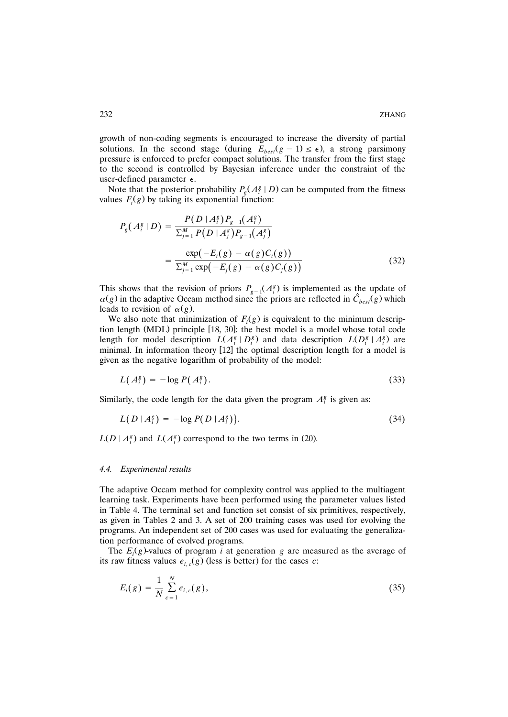growth of non-coding segments is encouraged to increase the diversity of partial solutions. In the second stage (during  $E_{\text{hess}}(g-1) \leq \epsilon$ ), a strong parsimony pressure is enforced to prefer compact solutions. The transfer from the first stage to the second is controlled by Bayesian inference under the constraint of the user-defined parameter  $\epsilon$ .

Note that the posterior probability  $P_e(A_i^g \mid D)$  can be computed from the fitness values  $F_i(g)$  by taking its exponential function:

$$
P_g(A_i^g \mid D) = \frac{P(D \mid A_i^g) P_{g-1}(A_i^g)}{\sum_{j=1}^{M} P(D \mid A_j^g) P_{g-1}(A_j^g)}
$$
  
= 
$$
\frac{\exp(-E_i(g) - \alpha(g)C_i(g))}{\sum_{j=1}^{M} \exp(-E_j(g) - \alpha(g)C_j(g))}
$$
(32)

This shows that the revision of priors  $P_{g-1}(A_i^g)$  is implemented as the update of  $\alpha(g)$  in the adaptive Occam method since the priors are reflected in  $\hat{C}_{best}(g)$  which leads to revision of  $\alpha(g)$ .

We also note that minimization of  $F_i(g)$  is equivalent to the minimum description length (MDL) principle [18, 30]: the best model is a model whose total code length for model description  $L(A_i^g | D_i^g)$  and data description  $L(D_i^g | A_i^g)$  are minimal. In information theory  $[12]$  the optimal description length for a model is given as the negative logarithm of probability of the model:

$$
L(A_i^g) = -\log P(A_i^g). \tag{33}
$$

Similarly, the code length for the data given the program  $A_i^g$  is given as:

$$
L(D \mid A_i^g) = -\log P(D \mid A_i^g).
$$
 (34)

 $L(D \mid A_i^g)$  and  $L(A_i^g)$  correspond to the two terms in (20).

## *4.4. Experimental results*

The adaptive Occam method for complexity control was applied to the multiagent learning task. Experiments have been performed using the parameter values listed in Table 4. The terminal set and function set consist of six primitives, respectively, as given in Tables 2 and 3. A set of 200 training cases was used for evolving the programs. An independent set of 200 cases was used for evaluating the generalization performance of evolved programs.

The  $E_i(g)$ -values of program *i* at generation *g* are measured as the average of its raw fitness values  $e_{i,c}(g)$  (less is better) for the cases *c*:

$$
E_i(g) = \frac{1}{N} \sum_{c=1}^{N} e_{i,c}(g), \qquad (35)
$$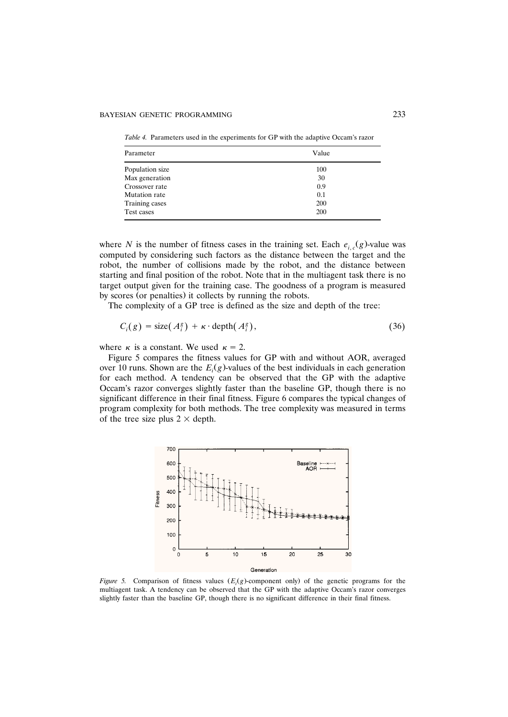| Parameter       | Value |  |  |
|-----------------|-------|--|--|
| Population size | 100   |  |  |
| Max generation  | 30    |  |  |
| Crossover rate  | 0.9   |  |  |
| Mutation rate   | 0.1   |  |  |
| Training cases  | 200   |  |  |
| Test cases      | 200   |  |  |

*Table 4.* Parameters used in the experiments for GP with the adaptive Occam's razor

where *N* is the number of fitness cases in the training set. Each  $e_i$   $\zeta$  -value was computed by considering such factors as the distance between the target and the robot, the number of collisions made by the robot, and the distance between starting and final position of the robot. Note that in the multiagent task there is no target output given for the training case. The goodness of a program is measured by scores (or penalties) it collects by running the robots.

The complexity of a GP tree is defined as the size and depth of the tree:

$$
C_i(g) = \text{size}(A_i^g) + \kappa \cdot \text{depth}(A_i^g), \qquad (36)
$$

where  $\kappa$  is a constant. We used  $\kappa = 2$ .

Figure 5 compares the fitness values for GP with and without AOR, averaged over 10 runs. Shown are the  $E_i(g)$ -values of the best individuals in each generation for each method. A tendency can be observed that the GP with the adaptive Occam's razor converges slightly faster than the baseline GP, though there is no significant difference in their final fitness. Figure 6 compares the typical changes of program complexity for both methods. The tree complexity was measured in terms of the tree size plus  $2 \times$  depth.



*Figure 5.* Comparison of fitness values  $(E_i(g)$ -component only) of the genetic programs for the multiagent task. A tendency can be observed that the GP with the adaptive Occam's razor converges slightly faster than the baseline GP, though there is no significant difference in their final fitness.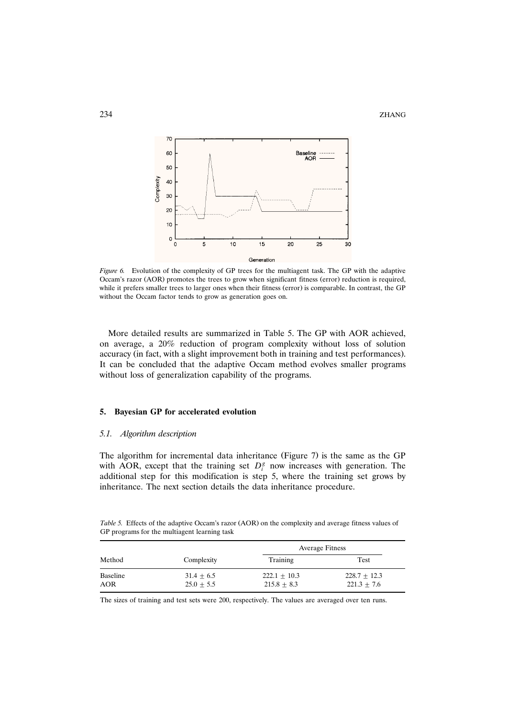

*Figure 6.* Evolution of the complexity of GP trees for the multiagent task. The GP with the adaptive Occam's razor (AOR) promotes the trees to grow when significant fitness (error) reduction is required, while it prefers smaller trees to larger ones when their fitness (error) is comparable. In contrast, the GP without the Occam factor tends to grow as generation goes on.

More detailed results are summarized in Table 5. The GP with AOR achieved, on average, a 20% reduction of program complexity without loss of solution accuracy (in fact, with a slight improvement both in training and test performances). It can be concluded that the adaptive Occam method evolves smaller programs without loss of generalization capability of the programs.

# **5. Bayesian GP for accelerated evolution**

## *5.1. Algorithm description*

The algorithm for incremental data inheritance (Figure 7) is the same as the GP with AOR, except that the training set  $D_f^g$  now increases with generation. The additional step for this modification is step 5, where the training set grows by inheritance. The next section details the data inheritance procedure.

| Table 5. Effects of the adaptive Occam's razor (AOR) on the complexity and average fitness values of |  |  |  |
|------------------------------------------------------------------------------------------------------|--|--|--|
| GP programs for the multiagent learning task                                                         |  |  |  |

|                        |                              | <b>Average Fitness</b>          |                                 |  |
|------------------------|------------------------------|---------------------------------|---------------------------------|--|
| Method                 | Complexity                   | <b>Training</b>                 | Test                            |  |
| <b>Baseline</b><br>AOR | $31.4 + 6.5$<br>$25.0 + 5.5$ | $222.1 + 10.3$<br>$215.8 + 8.3$ | $228.7 + 12.3$<br>$221.3 + 7.6$ |  |

The sizes of training and test sets were 200, respectively. The values are averaged over ten runs.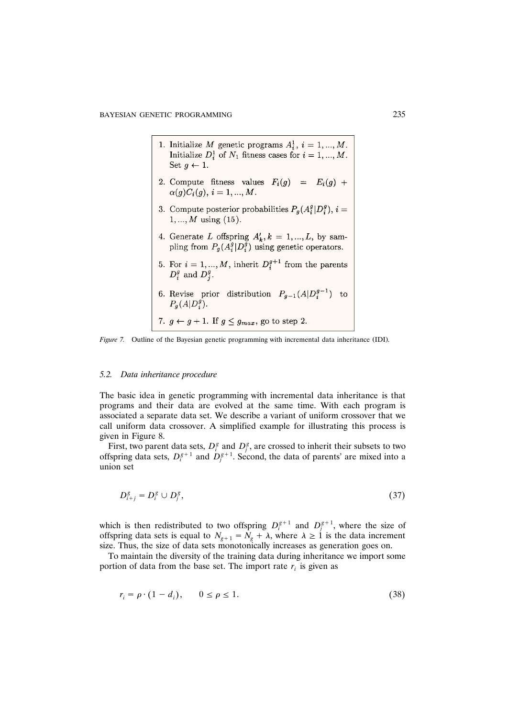- 1. Initialize M genetic programs  $A_i^1$ ,  $i = 1, ..., M$ . Initialize  $D_i^1$  of  $N_1$  fitness cases for  $i = 1, ..., M$ . Set  $q \leftarrow 1$ .
- 2. Compute fitness values  $F_i(g) = E_i(g) +$  $\alpha(q)C_i(q), i = 1, ..., M.$
- 3. Compute posterior probabilities  $P_a(A_i^g|D_i^g), i =$  $1, ..., M$  using  $(15)$ .
- 4. Generate L offspring  $A'_k, k = 1, ..., L$ , by sampling from  $P_a(A_i^g|D_i^g)$  using genetic operators.
- 5. For  $i = 1, ..., M$ , inherit  $D_i^{g+1}$  from the parents  $D_i^g$  and  $D_i^g$ .
- 6. Revise prior distribution  $P_{g-1}(A|D_i^{g-1})$  to  $P_g(A|D_i^g)$ .
- 7.  $q \leftarrow q + 1$ . If  $q \leq q_{max}$ , go to step 2.

*Figure 7.* Outline of the Bayesian genetic programming with incremental data inheritance (IDI).

## *5.2. Data inheritance procedure*

The basic idea in genetic programming with incremental data inheritance is that programs and their data are evolved at the same time. With each program is associated a separate data set. We describe a variant of uniform crossover that we call uniform data crossover. A simplified example for illustrating this process is given in Figure 8.

First, two parent data sets,  $D_i^g$  and  $D_j^g$ , are crossed to inherit their subsets to two offspring data sets,  $D_i^{g+1}$  and  $D_j^{g+1}$ . Second, the data of parents' are mixed into a union set

$$
D_{i+j}^g = D_i^g \cup D_j^g,\tag{37}
$$

which is then redistributed to two offspring  $D_i^{g+1}$  and  $D_j^{g+1}$ , where the size of offspring data sets is equal to  $N_{g+1} = N_g + \lambda$ , where  $\lambda \geq 1$  is the data increment size. Thus, the size of data sets monotonically increases as generation goes on.

To maintain the diversity of the training data during inheritance we import some portion of data from the base set. The import rate  $r_i$  is given as

$$
r_i = \rho \cdot (1 - d_i), \qquad 0 \le \rho \le 1. \tag{38}
$$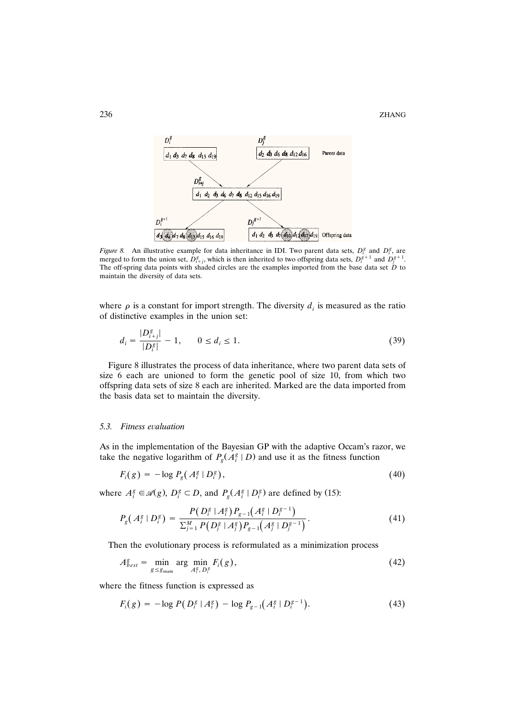

*Figure 8.* An illustrative example for data inheritance in IDI. Two parent data sets,  $D_i^g$  and  $D_i^g$ , are merged to form the union set,  $D_{i+j}^g$ , which is then inherited to two offspring data sets,  $D_i^{g+1}$  and  $D_j^{g+1}$ . The off-spring data points with shaded circles are the examples imported from the base data set *D* to maintain the diversity of data sets.

where  $\rho$  is a constant for import strength. The diversity  $d_i$  is measured as the ratio of distinctive examples in the union set:

$$
d_i = \frac{|D_{i+j}^g|}{|D_i^g|} - 1, \qquad 0 \le d_i \le 1.
$$
\n(39)

Figure 8 illustrates the process of data inheritance, where two parent data sets of size 6 each are unioned to form the genetic pool of size 10, from which two offspring data sets of size 8 each are inherited. Marked are the data imported from the basis data set to maintain the diversity.

# *5.3. Fitness e*¨*aluation*

As in the implementation of the Bayesian GP with the adaptive Occam's razor, we take the negative logarithm of  $P_{\nu}(A_i^g \mid D)$  and use it as the fitness function

$$
F_i(g) = -\log P_g(A_i^g \mid D_i^g),\tag{40}
$$

where  $A_i^g \in \mathcal{A}(g)$ ,  $D_i^g \subset D$ , and  $P_g(A_i^g \mid D_i^g)$  are defined by (15):

$$
P_g(A_i^g \mid D_i^g) = \frac{P(D_i^g \mid A_i^g) P_{g-1}(A_i^g \mid D_i^{g-1})}{\sum_{j=1}^M P(D_j^g \mid A_j^g) P_{g-1}(A_j^g \mid D_j^{g-1})}.
$$
\n(41)

Then the evolutionary process is reformulated as a minimization process

$$
A_{best}^g = \min_{g \le g_{\text{mam}}} \arg \min_{A_i^g, D_i^g} F_i(g), \tag{42}
$$

where the fitness function is expressed as

$$
F_i(g) = -\log P(D_i^g \mid A_i^g) - \log P_{g-1}(A_i^g \mid D_i^{g-1}). \tag{43}
$$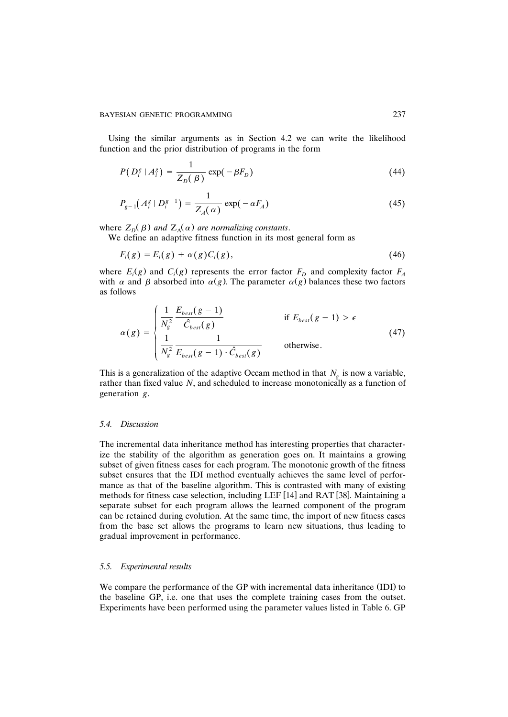Using the similar arguments as in Section 4.2 we can write the likelihood function and the prior distribution of programs in the form

$$
P(D_i^g \mid A_i^g) = \frac{1}{Z_D(\beta)} \exp(-\beta F_D) \tag{44}
$$

$$
P_{g-1}(A_i^g \mid D_i^{g-1}) = \frac{1}{Z_A(\alpha)} \exp(-\alpha F_A)
$$
 (45)

where  $Z_D(\beta)$  and  $Z_A(\alpha)$  are normalizing constants.

We define an adaptive fitness function in its most general form as

$$
F_i(g) = E_i(g) + \alpha(g)C_i(g), \qquad (46)
$$

where  $E_i(g)$  and  $C_i(g)$  represents the error factor  $F_p$  and complexity factor  $F_A$ with  $\alpha$  and  $\beta$  absorbed into  $\alpha(g)$ . The parameter  $\alpha(g)$  balances these two factors as follows

$$
\alpha(g) = \begin{cases}\n\frac{1}{N_g^2} \frac{E_{best}(g-1)}{\hat{C}_{best}(g)} & \text{if } E_{best}(g-1) > \epsilon \\
\frac{1}{N_g^2} \frac{1}{E_{best}(g-1) \cdot \hat{C}_{best}(g)} & \text{otherwise.} \n\end{cases}
$$
\n(47)

This is a generalization of the adaptive Occam method in that  $N_e$  is now a variable, rather than fixed value *N*, and scheduled to increase monotonically as a function of generation *g*.

## *5.4. Discussion*

The incremental data inheritance method has interesting properties that characterize the stability of the algorithm as generation goes on. It maintains a growing subset of given fitness cases for each program. The monotonic growth of the fitness subset ensures that the IDI method eventually achieves the same level of performance as that of the baseline algorithm. This is contrasted with many of existing methods for fitness case selection, including LEF [14] and RAT [38]. Maintaining a separate subset for each program allows the learned component of the program can be retained during evolution. At the same time, the import of new fitness cases from the base set allows the programs to learn new situations, thus leading to gradual improvement in performance.

## *5.5. Experimental results*

We compare the performance of the GP with incremental data inheritance (IDI) to the baseline GP, i.e. one that uses the complete training cases from the outset. Experiments have been performed using the parameter values listed in Table 6. GP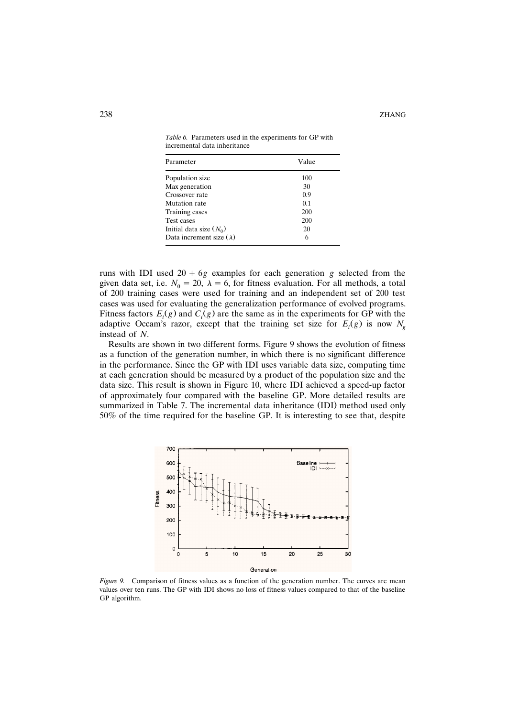| Parameter                       | Value |
|---------------------------------|-------|
| Population size                 | 100   |
| Max generation                  | 30    |
| Crossover rate                  | 0.9   |
| Mutation rate                   | 0.1   |
| Training cases                  | 200   |
| <b>Test cases</b>               | 200   |
| Initial data size $(N_0)$       | 20    |
| Data increment size $(\lambda)$ | 6     |

*Table 6.* Parameters used in the experiments for GP with incremental data inheritance

runs with IDI used  $20 + 6g$  examples for each generation g selected from the given data set, i.e.  $N_0 = 20$ ,  $\lambda = 6$ , for fitness evaluation. For all methods, a total of 200 training cases were used for training and an independent set of 200 test cases was used for evaluating the generalization performance of evolved programs. Fitness factors  $E_i(g)$  and  $C_i(g)$  are the same as in the experiments for GP with the adaptive Occam's razor, except that the training set size for  $E_i(g)$  is now  $N_a$ instead of *N*.

Results are shown in two different forms. Figure 9 shows the evolution of fitness as a function of the generation number, in which there is no significant difference in the performance. Since the GP with IDI uses variable data size, computing time at each generation should be measured by a product of the population size and the data size. This result is shown in Figure 10, where IDI achieved a speed-up factor of approximately four compared with the baseline GP. More detailed results are summarized in Table 7. The incremental data inheritance (IDI) method used only 50% of the time required for the baseline GP. It is interesting to see that, despite



*Figure 9.* Comparison of fitness values as a function of the generation number. The curves are mean values over ten runs. The GP with IDI shows no loss of fitness values compared to that of the baseline GP algorithm.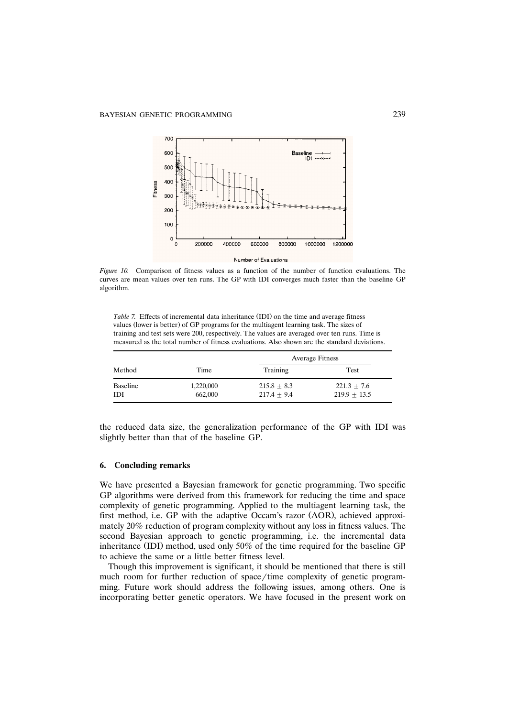

*Figure 10.* Comparison of fitness values as a function of the number of function evaluations. The curves are mean values over ten runs. The GP with IDI converges much faster than the baseline GP algorithm.

*Table 7.* Effects of incremental data inheritance (IDI) on the time and average fitness values (lower is better) of GP programs for the multiagent learning task. The sizes of training and test sets were 200, respectively. The values are averaged over ten runs. Time is measured as the total number of fitness evaluations. Also shown are the standard deviations.

|                 |                      | <b>Average Fitness</b>         |                                 |  |
|-----------------|----------------------|--------------------------------|---------------------------------|--|
| Method          | Time                 | Training                       | Test                            |  |
| Baseline<br>IDI | 1,220,000<br>662,000 | $215.8 + 8.3$<br>$217.4 + 9.4$ | $221.3 + 7.6$<br>$219.9 + 13.5$ |  |

the reduced data size, the generalization performance of the GP with IDI was slightly better than that of the baseline GP.

## **6. Concluding remarks**

We have presented a Bayesian framework for genetic programming. Two specific GP algorithms were derived from this framework for reducing the time and space complexity of genetic programming. Applied to the multiagent learning task, the first method, i.e. GP with the adaptive Occam's razor (AOR), achieved approximately 20% reduction of program complexity without any loss in fitness values. The second Bayesian approach to genetic programming, i.e. the incremental data inheritance (IDI) method, used only  $50\%$  of the time required for the baseline GP to achieve the same or a little better fitness level.

Though this improvement is significant, it should be mentioned that there is still much room for further reduction of space/time complexity of genetic programming. Future work should address the following issues, among others. One is incorporating better genetic operators. We have focused in the present work on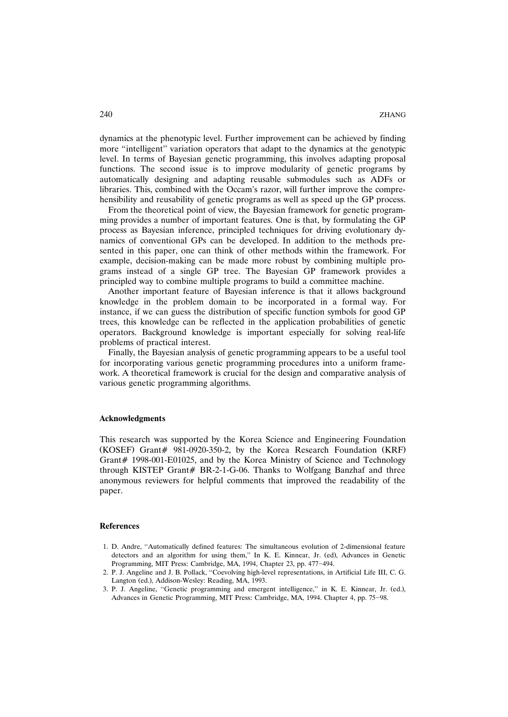dynamics at the phenotypic level. Further improvement can be achieved by finding more ''intelligent'' variation operators that adapt to the dynamics at the genotypic level. In terms of Bayesian genetic programming, this involves adapting proposal functions. The second issue is to improve modularity of genetic programs by automatically designing and adapting reusable submodules such as ADFs or libraries. This, combined with the Occam's razor, will further improve the comprehensibility and reusability of genetic programs as well as speed up the GP process.

From the theoretical point of view, the Bayesian framework for genetic programming provides a number of important features. One is that, by formulating the GP process as Bayesian inference, principled techniques for driving evolutionary dynamics of conventional GPs can be developed. In addition to the methods presented in this paper, one can think of other methods within the framework. For example, decision-making can be made more robust by combining multiple programs instead of a single GP tree. The Bayesian GP framework provides a principled way to combine multiple programs to build a committee machine.

Another important feature of Bayesian inference is that it allows background knowledge in the problem domain to be incorporated in a formal way. For instance, if we can guess the distribution of specific function symbols for good GP trees, this knowledge can be reflected in the application probabilities of genetic operators. Background knowledge is important especially for solving real-life problems of practical interest.

Finally, the Bayesian analysis of genetic programming appears to be a useful tool for incorporating various genetic programming procedures into a uniform framework. A theoretical framework is crucial for the design and comparative analysis of various genetic programming algorithms.

#### **Acknowledgments**

This research was supported by the Korea Science and Engineering Foundation  $(KOSEF)$  Grant $#$  981-0920-350-2, by the Korea Research Foundation  $(KRF)$ Grant# 1998-001-E01025, and by the Korea Ministry of Science and Technology through KISTEP Grant $#$  BR-2-1-G-06. Thanks to Wolfgang Banzhaf and three anonymous reviewers for helpful comments that improved the readability of the paper.

#### **References**

- 1. D. Andre, ''Automatically defined features: The simultaneous evolution of 2-dimensional feature detectors and an algorithm for using them," In K. E. Kinnear, Jr. (ed), Advances in Genetic Programming, MIT Press: Cambridge, MA, 1994, Chapter 23, pp. 477-494.
- 2. P. J. Angeline and J. B. Pollack, ''Coevolving high-level representations, in Artificial Life III, C. G. Langton (ed.), Addison-Wesley: Reading, MA, 1993.
- 3. P. J. Angeline, "Genetic programming and emergent intelligence," in K. E. Kinnear, Jr. (ed.), Advances in Genetic Programming, MIT Press: Cambridge, MA, 1994. Chapter 4, pp. 75-98.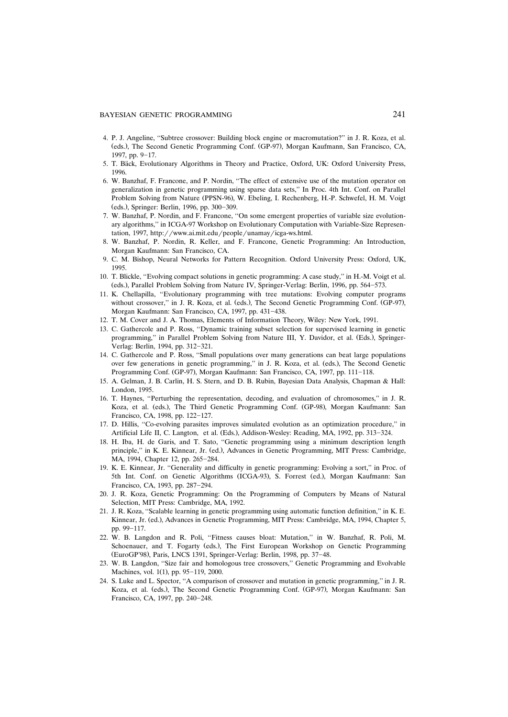- 4. P. J. Angeline, ''Subtree crossover: Building block engine or macromutation?'' in J. R. Koza, et al. (eds.), The Second Genetic Programming Conf. (GP-97), Morgan Kaufmann, San Francisco, CA, 1997, pp. 9-17.
- 5. T. Bäck, Evolutionary Algorithms in Theory and Practice, Oxford, UK: Oxford University Press, 1996.
- 6. W. Banzhaf, F. Francone, and P. Nordin, ''The effect of extensive use of the mutation operator on generalization in genetic programming using sparse data sets,'' In Proc. 4th Int. Conf. on Parallel Problem Solving from Nature (PPSN-96), W. Ebeling, I. Rechenberg, H.-P. Schwefel, H. M. Voigt (eds.), Springer: Berlin, 1996, pp. 300-309.
- 7. W. Banzhaf, P. Nordin, and F. Francone, ''On some emergent properties of variable size evolutionary algorithms,'' in ICGA-97 Workshop on Evolutionary Computation with Variable-Size Representation, 1997, http://www.ai.mit.edu/people/unamay/icga-ws.html.
- 8. W. Banzhaf, P. Nordin, R. Keller, and F. Francone, Genetic Programming: An Introduction, Morgan Kaufmann: San Francisco, CA.
- 9. C. M. Bishop, Neural Networks for Pattern Recognition. Oxford University Press: Oxford, UK, 1995.
- 10. T. Blickle, ''Evolving compact solutions in genetic programming: A case study,'' in H.-M. Voigt et al. (eds.), Parallel Problem Solving from Nature IV, Springer-Verlag: Berlin, 1996, pp. 564–573.
- 11. K. Chellapilla, ''Evolutionary programming with tree mutations: Evolving computer programs without crossover," in J. R. Koza, et al. (eds.), The Second Genetic Programming Conf. (GP-97), Morgan Kaufmann: San Francisco, CA, 1997, pp. 431-438.
- 12. T. M. Cover and J. A. Thomas, Elements of Information Theory, Wiley: New York, 1991.
- 13. C. Gathercole and P. Ross, ''Dynamic training subset selection for supervised learning in genetic programming," in Parallel Problem Solving from Nature III, Y. Davidor, et al. (Eds.), Springer-Verlag: Berlin, 1994, pp. 312-321.
- 14. C. Gathercole and P. Ross, ''Small populations over many generations can beat large populations over few generations in genetic programming," in J. R. Koza, et al. (eds.), The Second Genetic Programming Conf. (GP-97), Morgan Kaufmann: San Francisco, CA, 1997, pp. 111-118.
- 15. A. Gelman, J. B. Carlin, H. S. Stern, and D. B. Rubin, Bayesian Data Analysis, Chapman & Hall: London, 1995.
- 16. T. Haynes, ''Perturbing the representation, decoding, and evaluation of chromosomes,'' in J. R. Koza, et al. (eds.), The Third Genetic Programming Conf. (GP-98), Morgan Kaufmann: San Francisco, CA, 1998, pp. 122-127.
- 17. D. Hillis, ''Co-evolving parasites improves simulated evolution as an optimization procedure,'' in Artificial Life II, C. Langton, et al. (Eds.), Addison-Wesley: Reading, MA, 1992, pp. 313-324.
- 18. H. Iba, H. de Garis, and T. Sato, ''Genetic programming using a minimum description length principle," in K. E. Kinnear, Jr. (ed.), Advances in Genetic Programming, MIT Press: Cambridge, MA, 1994, Chapter 12, pp. 265-284.
- 19. K. E. Kinnear, Jr. ''Generality and difficulty in genetic programming: Evolving a sort,'' in Proc. of 5th Int. Conf. on Genetic Algorithms (ICGA-93), S. Forrest (ed.), Morgan Kaufmann: San Francisco, CA, 1993, pp. 287-294.
- 20. J. R. Koza, Genetic Programming: On the Programming of Computers by Means of Natural Selection, MIT Press: Cambridge, MA, 1992.
- 21. J. R. Koza, ''Scalable learning in genetic programming using automatic function definition,'' in K. E. Kinnear, Jr. (ed.), Advances in Genetic Programming, MIT Press: Cambridge, MA, 1994, Chapter 5, pp. 99-117.
- 22. W. B. Langdon and R. Poli, ''Fitness causes bloat: Mutation,'' in W. Banzhaf, R. Poli, M. Schoenauer, and T. Fogarty (eds.), The First European Workshop on Genetic Programming (EuroGP'98), Paris, LNCS 1391, Springer-Verlag: Berlin, 1998, pp. 37-48.
- 23. W. B. Langdon, ''Size fair and homologous tree crossovers,'' Genetic Programming and Evolvable Machines, vol. 1(1), pp. 95-119, 2000.
- 24. S. Luke and L. Spector, ''A comparison of crossover and mutation in genetic programming,'' in J. R. Koza, et al. (eds.), The Second Genetic Programming Conf. (GP-97), Morgan Kaufmann: San Francisco, CA, 1997, pp. 240-248.